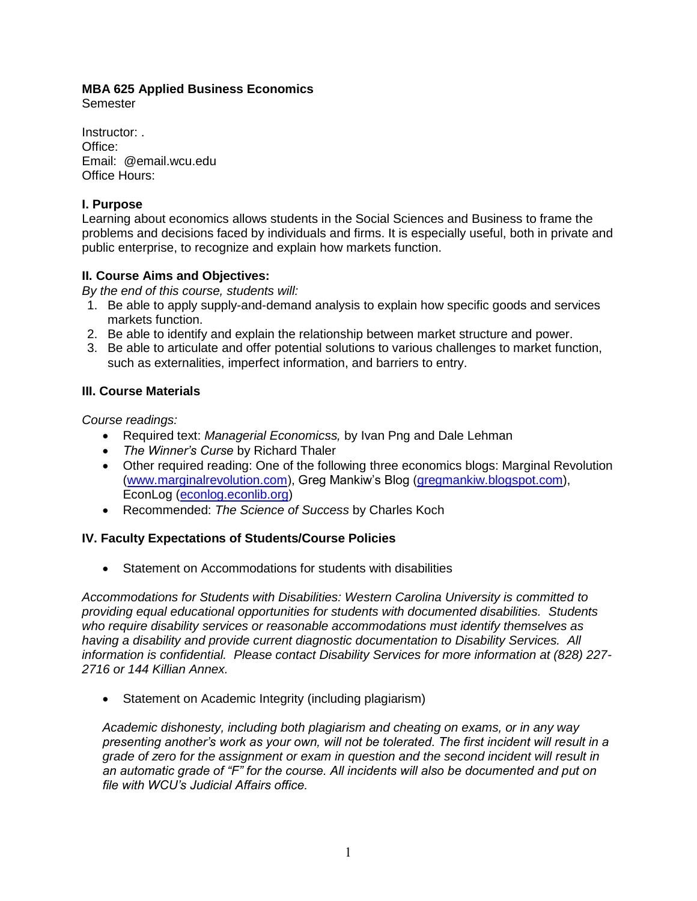### **MBA 625 Applied Business Economics**

Semester

Instructor: . Office: Email: @email.wcu.edu Office Hours:

### **I. Purpose**

Learning about economics allows students in the Social Sciences and Business to frame the problems and decisions faced by individuals and firms. It is especially useful, both in private and public enterprise, to recognize and explain how markets function.

### **II. Course Aims and Objectives:**

*By the end of this course, students will:* 

- 1. Be able to apply supply-and-demand analysis to explain how specific goods and services markets function.
- 2. Be able to identify and explain the relationship between market structure and power.
- 3. Be able to articulate and offer potential solutions to various challenges to market function, such as externalities, imperfect information, and barriers to entry.

### **III. Course Materials**

*Course readings:* 

- Required text: *Managerial Economicss,* by Ivan Png and Dale Lehman
- *The Winner's Curse* by Richard Thaler
- Other required reading: One of the following three economics blogs: Marginal Revolution [\(www.marginalrevolution.com\)](http://www.marginalrevolution.com/), Greg Mankiw's Blog [\(gregmankiw.blogspot.com\)](http://gregmankiw.blogspot.com/), EconLog [\(econlog.econlib.org\)](http://econlog.econlib.org/)
- Recommended: *The Science of Success* by Charles Koch

### **IV. Faculty Expectations of Students/Course Policies**

Statement on Accommodations for students with disabilities

*Accommodations for Students with Disabilities: Western Carolina University is committed to providing equal educational opportunities for students with documented disabilities. Students who require disability services or reasonable accommodations must identify themselves as having a disability and provide current diagnostic documentation to Disability Services. All information is confidential. Please contact Disability Services for more information at (828) 227- 2716 or 144 Killian Annex.* 

• Statement on Academic Integrity (including plagiarism)

*Academic dishonesty, including both plagiarism and cheating on exams, or in any way presenting another's work as your own, will not be tolerated. The first incident will result in a grade of zero for the assignment or exam in question and the second incident will result in an automatic grade of "F" for the course. All incidents will also be documented and put on file with WCU's Judicial Affairs office.*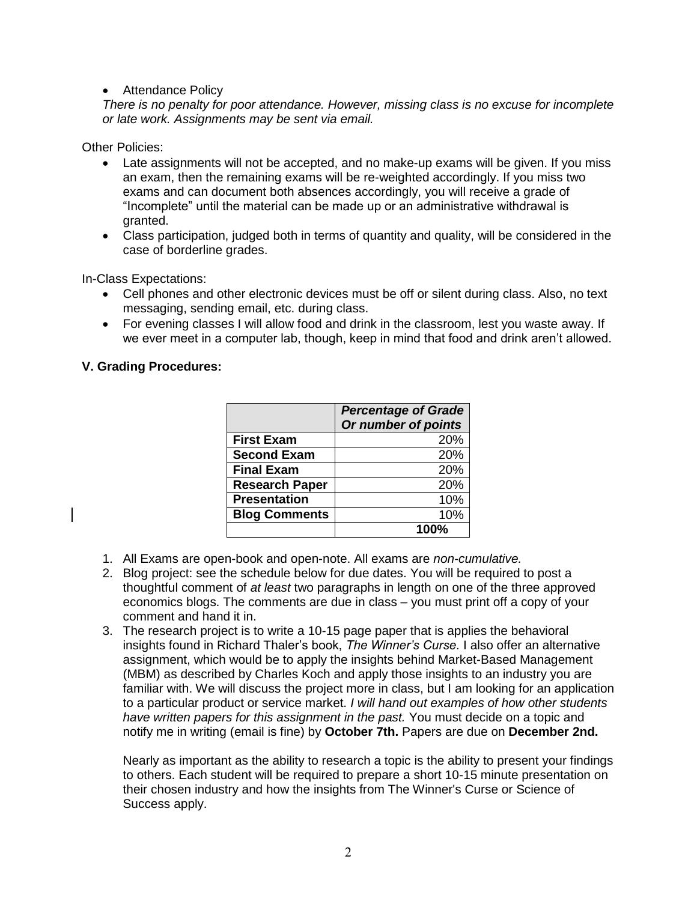#### • Attendance Policy

*There is no penalty for poor attendance. However, missing class is no excuse for incomplete or late work. Assignments may be sent via email.*

Other Policies:

- Late assignments will not be accepted, and no make-up exams will be given. If you miss an exam, then the remaining exams will be re-weighted accordingly. If you miss two exams and can document both absences accordingly, you will receive a grade of "Incomplete" until the material can be made up or an administrative withdrawal is granted.
- Class participation, judged both in terms of quantity and quality, will be considered in the case of borderline grades.

In-Class Expectations:

- Cell phones and other electronic devices must be off or silent during class. Also, no text messaging, sending email, etc. during class.
- For evening classes I will allow food and drink in the classroom, lest you waste away. If we ever meet in a computer lab, though, keep in mind that food and drink aren't allowed.

### **V. Grading Procedures:**

|                       | <b>Percentage of Grade</b><br>Or number of points |
|-----------------------|---------------------------------------------------|
|                       |                                                   |
| <b>First Exam</b>     | 20%                                               |
| <b>Second Exam</b>    | 20%                                               |
| <b>Final Exam</b>     | 20%                                               |
| <b>Research Paper</b> | 20%                                               |
| <b>Presentation</b>   | 10%                                               |
| <b>Blog Comments</b>  | 10%                                               |
|                       | 100%                                              |

- 1. All Exams are open-book and open-note. All exams are *non-cumulative.*
- 2. Blog project: see the schedule below for due dates. You will be required to post a thoughtful comment of *at least* two paragraphs in length on one of the three approved economics blogs. The comments are due in class – you must print off a copy of your comment and hand it in.
- 3. The research project is to write a 10-15 page paper that is applies the behavioral insights found in Richard Thaler's book, *The Winner's Curse.* I also offer an alternative assignment, which would be to apply the insights behind Market-Based Management (MBM) as described by Charles Koch and apply those insights to an industry you are familiar with. We will discuss the project more in class, but I am looking for an application to a particular product or service market. *I will hand out examples of how other students have written papers for this assignment in the past.* You must decide on a topic and notify me in writing (email is fine) by **October 7th.** Papers are due on **December 2nd.**

Nearly as important as the ability to research a topic is the ability to present your findings to others. Each student will be required to prepare a short 10-15 minute presentation on their chosen industry and how the insights from The Winner's Curse or Science of Success apply.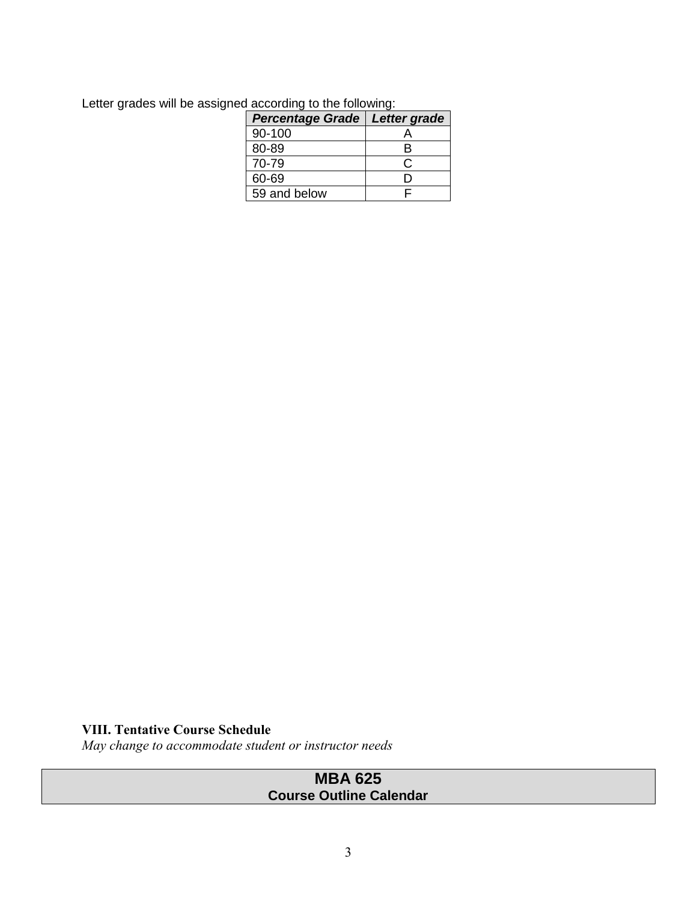| <b>Percentage Grade</b> | Letter grade |
|-------------------------|--------------|
| 90-100                  |              |
| 80-89                   |              |
| 70-79                   | C            |
| 60-69                   |              |
| 59 and below            |              |

Letter grades will be assigned according to the following:

# **VIII. Tentative Course Schedule**

*May change to accommodate student or instructor needs* 

# **MBA 625 Course Outline Calendar**